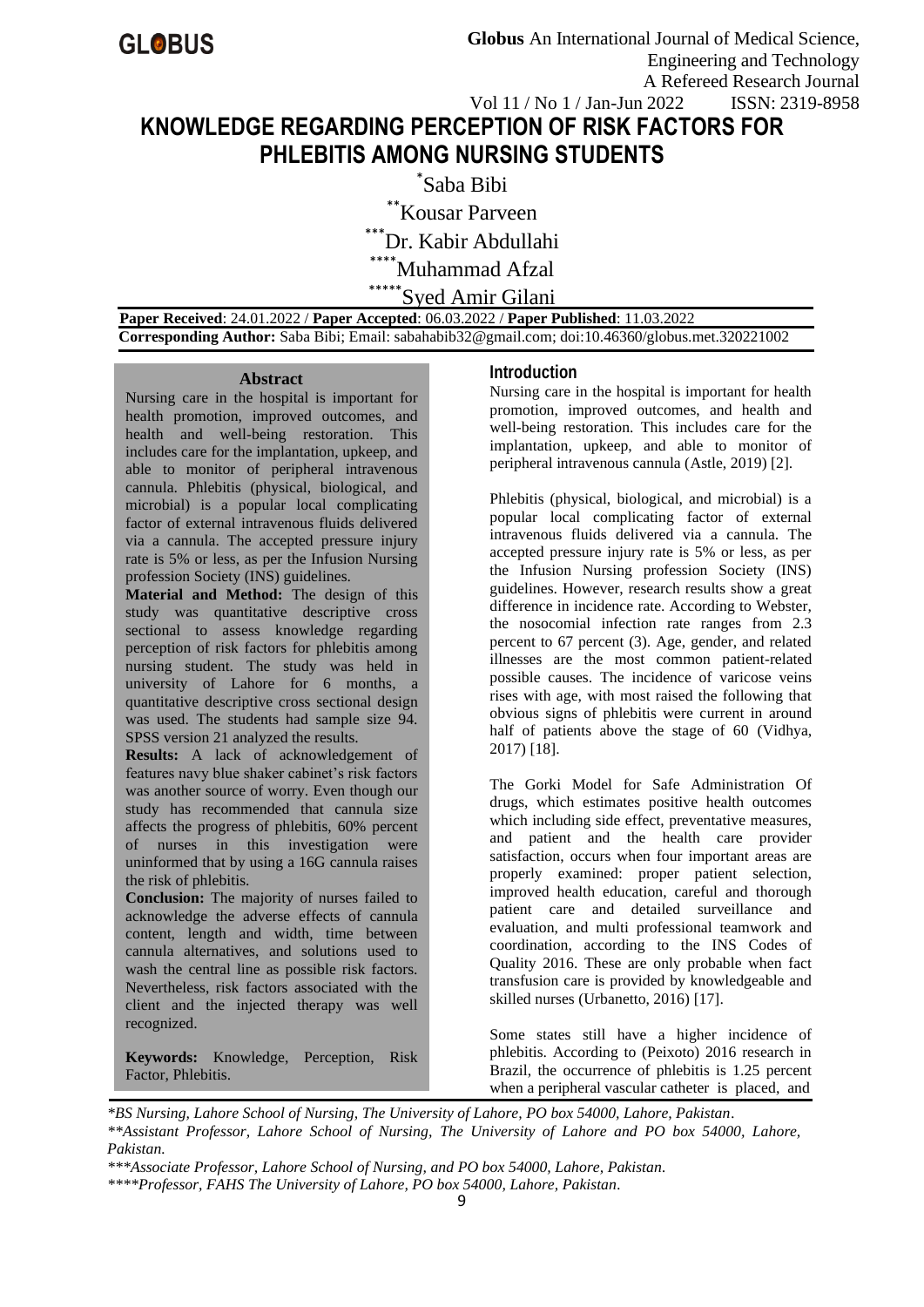# **KNOWLEDGE REGARDING PERCEPTION OF RISK FACTORS FOR PHLEBITIS AMONG NURSING STUDENTS**

\* Saba Bibi \*\*Kousar Parveen \*Dr. Kabir Abdullahi Muhammad Afzal \*\*\*Syed Amir Gilani

 **Paper Received**: 24.01.2022 / **Paper Accepted**: 06.03.2022 / **Paper Published**: 11.03.2022  **Corresponding Author:** Saba Bibi; Email: sabahabib32@gmail.com; doi:10.46360/globus.met.320221002

#### **Abstract**

Nursing care in the hospital is important for health promotion, improved outcomes, and health and well-being restoration. This includes care for the implantation, upkeep, and able to monitor of peripheral intravenous cannula. Phlebitis (physical, biological, and microbial) is a popular local complicating factor of external intravenous fluids delivered via a cannula. The accepted pressure injury rate is 5% or less, as per the Infusion Nursing profession Society (INS) guidelines.

**Material and Method:** The design of this study was quantitative descriptive cross sectional to assess knowledge regarding perception of risk factors for phlebitis among nursing student. The study was held in university of Lahore for 6 months, a quantitative descriptive cross sectional design was used. The students had sample size 94. SPSS version 21 analyzed the results.

**Results:** A lack of acknowledgement of features navy blue shaker cabinet's risk factors was another source of worry. Even though our study has recommended that cannula size affects the progress of phlebitis, 60% percent of nurses in this investigation were uninformed that by using a 16G cannula raises the risk of phlebitis.

**Conclusion:** The majority of nurses failed to acknowledge the adverse effects of cannula content, length and width, time between cannula alternatives, and solutions used to wash the central line as possible risk factors. Nevertheless, risk factors associated with the client and the injected therapy was well recognized.

**Keywords:** Knowledge, Perception, Risk Factor, Phlebitis.

## **Introduction**

Nursing care in the hospital is important for health promotion, improved outcomes, and health and well-being restoration. This includes care for the implantation, upkeep, and able to monitor of peripheral intravenous cannula (Astle, 2019) [2].

Phlebitis (physical, biological, and microbial) is a popular local complicating factor of external intravenous fluids delivered via a cannula. The accepted pressure injury rate is 5% or less, as per the Infusion Nursing profession Society (INS) guidelines. However, research results show a great difference in incidence rate. According to Webster, the nosocomial infection rate ranges from 2.3 percent to 67 percent (3). Age, gender, and related illnesses are the most common patient-related possible causes. The incidence of varicose veins rises with age, with most raised the following that obvious signs of phlebitis were current in around half of patients above the stage of 60 (Vidhya, 2017) [18].

The Gorki Model for Safe Administration Of drugs, which estimates positive health outcomes which including side effect, preventative measures, and patient and the health care provider satisfaction, occurs when four important areas are properly examined: proper patient selection, improved health education, careful and thorough patient care and detailed surveillance and evaluation, and multi professional teamwork and coordination, according to the INS Codes of Quality 2016. These are only probable when fact transfusion care is provided by knowledgeable and skilled nurses (Urbanetto, 2016) [17].

Some states still have a higher incidence of phlebitis. According to (Peixoto) 2016 research in Brazil, the occurrence of phlebitis is 1.25 percent when a peripheral vascular catheter is placed, and

*\*BS Nursing, Lahore School of Nursing, The University of Lahore, PO box 54000, Lahore, Pakistan. \*\*Assistant Professor, Lahore School of Nursing, The University of Lahore and PO box 54000, Lahore, Pakistan.*

*\*\*\*Associate Professor, Lahore School of Nursing, and PO box 54000, Lahore, Pakistan.*

*<sup>\*\*\*\*</sup>Professor, FAHS The University of Lahore, PO box 54000, Lahore, Pakistan.*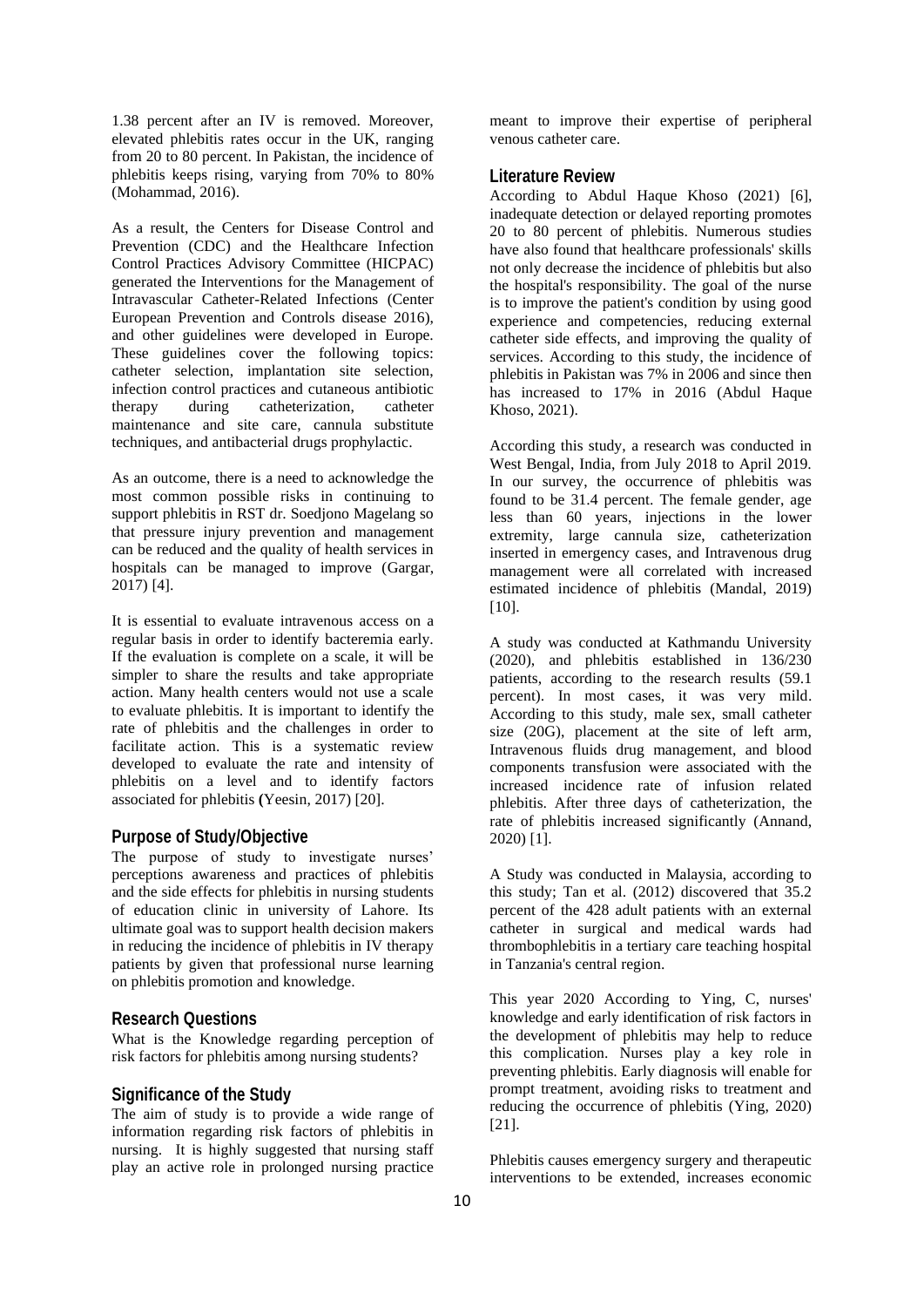1.38 percent after an IV is removed. Moreover, elevated phlebitis rates occur in the UK, ranging from 20 to 80 percent. In Pakistan, the incidence of phlebitis keeps rising, varying from 70% to 80% (Mohammad, 2016).

As a result, the Centers for Disease Control and Prevention (CDC) and the Healthcare Infection Control Practices Advisory Committee (HICPAC) generated the Interventions for the Management of Intravascular Catheter-Related Infections (Center European Prevention and Controls disease 2016), and other guidelines were developed in Europe. These guidelines cover the following topics: catheter selection, implantation site selection, infection control practices and cutaneous antibiotic therapy during catheterization, catheter maintenance and site care, cannula substitute techniques, and antibacterial drugs prophylactic.

As an outcome, there is a need to acknowledge the most common possible risks in continuing to support phlebitis in RST dr. Soedjono Magelang so that pressure injury prevention and management can be reduced and the quality of health services in hospitals can be managed to improve (Gargar, 2017) [4].

It is essential to evaluate intravenous access on a regular basis in order to identify bacteremia early. If the evaluation is complete on a scale, it will be simpler to share the results and take appropriate action. Many health centers would not use a scale to evaluate phlebitis. It is important to identify the rate of phlebitis and the challenges in order to facilitate action. This is a systematic review developed to evaluate the rate and intensity of phlebitis on a level and to identify factors associated for phlebitis **(**Yeesin, 2017) [20].

## **Purpose of Study/Objective**

The purpose of study to investigate nurses' perceptions awareness and practices of phlebitis and the side effects for phlebitis in nursing students of education clinic in university of Lahore. Its ultimate goal was to support health decision makers in reducing the incidence of phlebitis in IV therapy patients by given that professional nurse learning on phlebitis promotion and knowledge.

#### **Research Questions**

What is the Knowledge regarding perception of risk factors for phlebitis among nursing students?

## **Significance of the Study**

The aim of study is to provide a wide range of information regarding risk factors of phlebitis in nursing. It is highly suggested that nursing staff play an active role in prolonged nursing practice

meant to improve their expertise of peripheral venous catheter care.

## **Literature Review**

According to Abdul Haque Khoso (2021) [6], inadequate detection or delayed reporting promotes 20 to 80 percent of phlebitis. Numerous studies have also found that healthcare professionals' skills not only decrease the incidence of phlebitis but also the hospital's responsibility. The goal of the nurse is to improve the patient's condition by using good experience and competencies, reducing external catheter side effects, and improving the quality of services. According to this study, the incidence of phlebitis in Pakistan was 7% in 2006 and since then has increased to 17% in 2016 (Abdul Haque Khoso, 2021).

According this study, a research was conducted in West Bengal, India, from July 2018 to April 2019. In our survey, the occurrence of phlebitis was found to be 31.4 percent. The female gender, age less than 60 years, injections in the lower extremity, large cannula size, catheterization inserted in emergency cases, and Intravenous drug management were all correlated with increased estimated incidence of phlebitis (Mandal, 2019) [10].

A study was conducted at Kathmandu University (2020), and phlebitis established in 136/230 patients, according to the research results (59.1 percent). In most cases, it was very mild. According to this study, male sex, small catheter size (20G), placement at the site of left arm, Intravenous fluids drug management, and blood components transfusion were associated with the increased incidence rate of infusion related phlebitis. After three days of catheterization, the rate of phlebitis increased significantly (Annand, 2020) [1].

A Study was conducted in Malaysia, according to this study; Tan et al. (2012) discovered that 35.2 percent of the 428 adult patients with an external catheter in surgical and medical wards had thrombophlebitis in a tertiary care teaching hospital in Tanzania's central region.

This year 2020 According to Ying, C, nurses' knowledge and early identification of risk factors in the development of phlebitis may help to reduce this complication. Nurses play a key role in preventing phlebitis. Early diagnosis will enable for prompt treatment, avoiding risks to treatment and reducing the occurrence of phlebitis (Ying, 2020) [21].

Phlebitis causes emergency surgery and therapeutic interventions to be extended, increases economic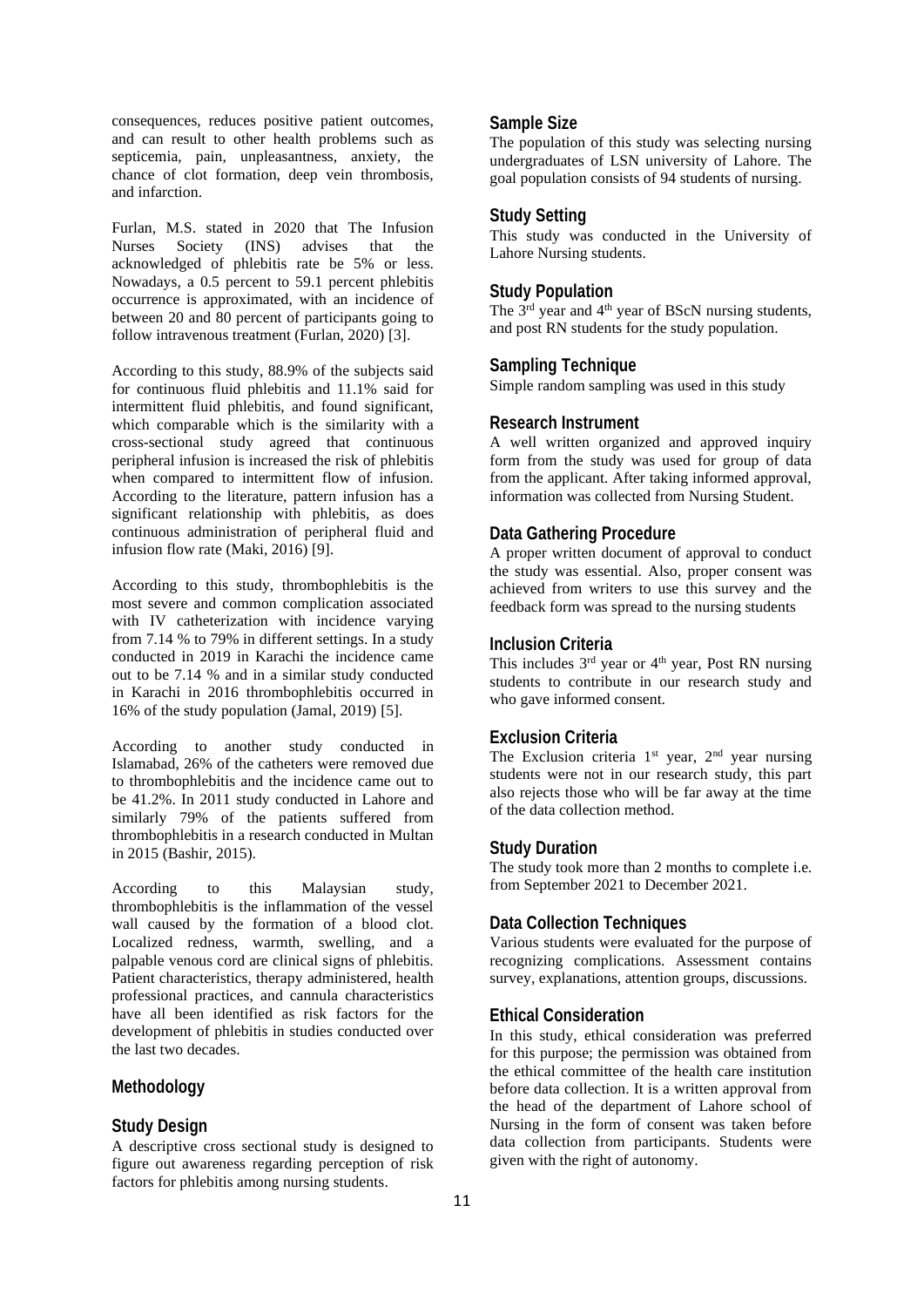consequences, reduces positive patient outcomes, and can result to other health problems such as septicemia, pain, unpleasantness, anxiety, the chance of clot formation, deep vein thrombosis, and infarction.

Furlan, M.S. stated in 2020 that The Infusion Nurses Society (INS) advises that the acknowledged of phlebitis rate be 5% or less. Nowadays, a 0.5 percent to 59.1 percent phlebitis occurrence is approximated, with an incidence of between 20 and 80 percent of participants going to follow intravenous treatment (Furlan, 2020) [3].

According to this study, 88.9% of the subjects said for continuous fluid phlebitis and 11.1% said for intermittent fluid phlebitis, and found significant, which comparable which is the similarity with a cross-sectional study agreed that continuous peripheral infusion is increased the risk of phlebitis when compared to intermittent flow of infusion. According to the literature, pattern infusion has a significant relationship with phlebitis, as does continuous administration of peripheral fluid and infusion flow rate (Maki, 2016) [9].

According to this study, thrombophlebitis is the most severe and common complication associated with IV catheterization with incidence varying from 7.14 % to 79% in different settings. In a study conducted in 2019 in Karachi the incidence came out to be 7.14 % and in a similar study conducted in Karachi in 2016 thrombophlebitis occurred in 16% of the study population (Jamal, 2019) [5].

According to another study conducted in Islamabad, 26% of the catheters were removed due to thrombophlebitis and the incidence came out to be 41.2%. In 2011 study conducted in Lahore and similarly 79% of the patients suffered from thrombophlebitis in a research conducted in Multan in 2015 (Bashir, 2015).

According to this Malaysian study, thrombophlebitis is the inflammation of the vessel wall caused by the formation of a blood clot. Localized redness, warmth, swelling, and a palpable venous cord are clinical signs of phlebitis. Patient characteristics, therapy administered, health professional practices, and cannula characteristics have all been identified as risk factors for the development of phlebitis in studies conducted over the last two decades.

## **Methodology**

## **Study Design**

A descriptive cross sectional study is designed to figure out awareness regarding perception of risk factors for phlebitis among nursing students.

## **Sample Size**

The population of this study was selecting nursing undergraduates of LSN university of Lahore. The goal population consists of 94 students of nursing.

## **Study Setting**

This study was conducted in the University of Lahore Nursing students.

### **Study Population**

The 3<sup>rd</sup> year and 4<sup>th</sup> year of BScN nursing students, and post RN students for the study population.

## **Sampling Technique**

Simple random sampling was used in this study

## **Research Instrument**

A well written organized and approved inquiry form from the study was used for group of data from the applicant. After taking informed approval, information was collected from Nursing Student.

## **Data Gathering Procedure**

A proper written document of approval to conduct the study was essential. Also, proper consent was achieved from writers to use this survey and the feedback form was spread to the nursing students

#### **Inclusion Criteria**

This includes  $3<sup>rd</sup>$  year or  $4<sup>th</sup>$  year, Post RN nursing students to contribute in our research study and who gave informed consent.

## **Exclusion Criteria**

The Exclusion criteria  $1<sup>st</sup>$  year,  $2<sup>nd</sup>$  year nursing students were not in our research study, this part also rejects those who will be far away at the time of the data collection method.

#### **Study Duration**

The study took more than 2 months to complete i.e. from September 2021 to December 2021.

#### **Data Collection Techniques**

Various students were evaluated for the purpose of recognizing complications. Assessment contains survey, explanations, attention groups, discussions.

## **Ethical Consideration**

In this study, ethical consideration was preferred for this purpose; the permission was obtained from the ethical committee of the health care institution before data collection. It is a written approval from the head of the department of Lahore school of Nursing in the form of consent was taken before data collection from participants. Students were given with the right of autonomy.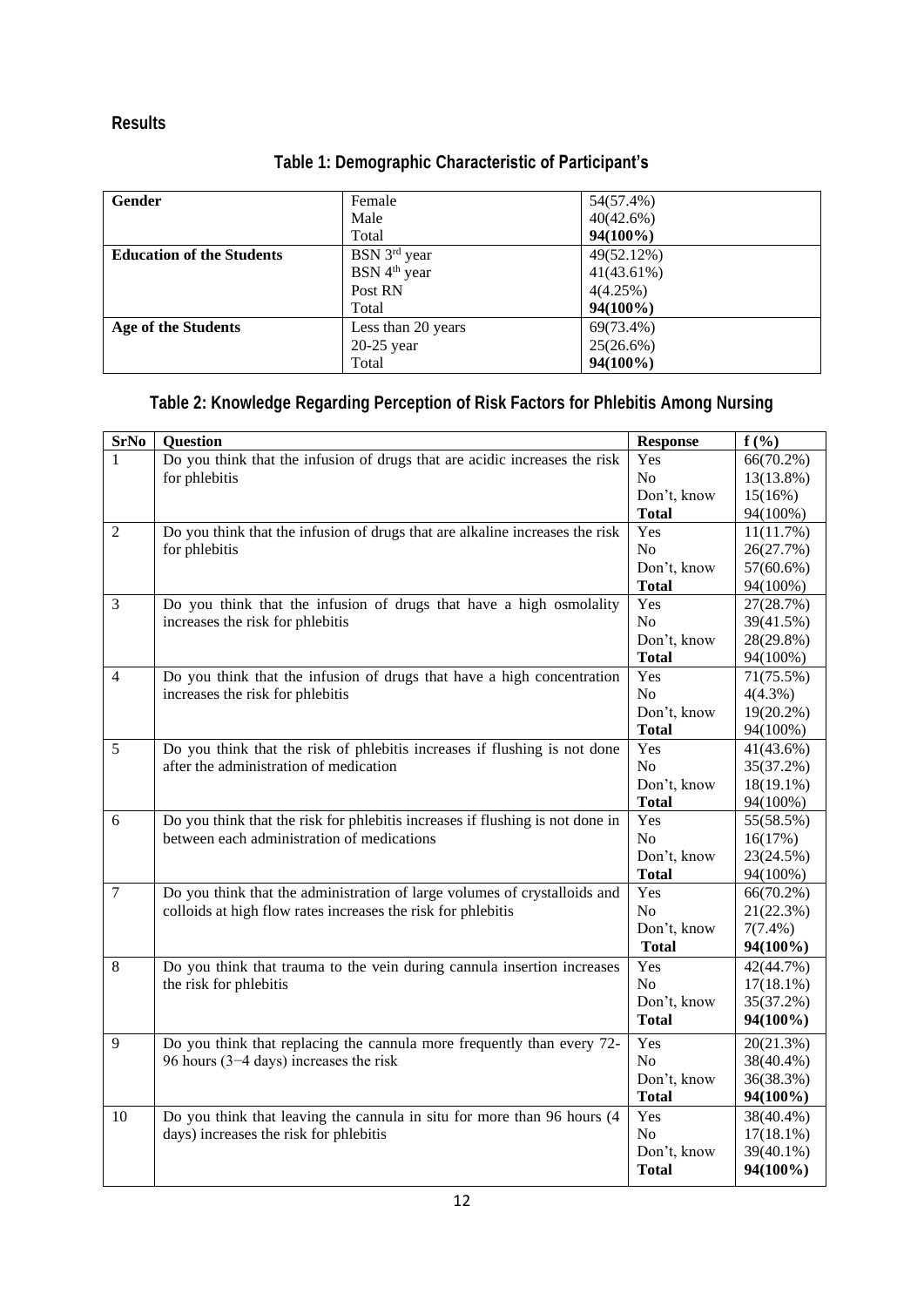## **Results**

| Gender                           | Female                   | 54(57.4%)     |
|----------------------------------|--------------------------|---------------|
|                                  | Male                     | 40(42.6%)     |
|                                  | Total                    | $94(100\%)$   |
| <b>Education of the Students</b> | BSN 3 <sup>rd</sup> year | 49(52.12%)    |
|                                  | BSN 4 <sup>th</sup> year | $41(43.61\%)$ |
|                                  | Post RN                  | 4(4.25%)      |
|                                  | Total                    | $94(100\%)$   |
| <b>Age of the Students</b>       | Less than 20 years       | 69(73.4%)     |
|                                  | $20-25$ year             | $25(26.6\%)$  |
|                                  | Total                    | $94(100\%)$   |

## **Table 1: Demographic Characteristic of Participant's**

## **Table 2: Knowledge Regarding Perception of Risk Factors for Phlebitis Among Nursing**

| <b>SrNo</b>    | Question                                                                      | <b>Response</b> | $f(\%)$      |
|----------------|-------------------------------------------------------------------------------|-----------------|--------------|
| 1              | Do you think that the infusion of drugs that are acidic increases the risk    | Yes             | $66(70.2\%)$ |
|                | for phlebitis                                                                 | No              | 13(13.8%)    |
|                |                                                                               | Don't, know     | 15(16%)      |
|                |                                                                               | <b>Total</b>    | 94(100%)     |
| $\overline{2}$ | Do you think that the infusion of drugs that are alkaline increases the risk  | Yes             | 11(11.7%)    |
|                | for phlebitis                                                                 | N <sub>o</sub>  | 26(27.7%)    |
|                |                                                                               | Don't, know     | $57(60.6\%)$ |
|                |                                                                               | <b>Total</b>    | 94(100%)     |
| 3              | Do you think that the infusion of drugs that have a high osmolality           | Yes             | 27(28.7%)    |
|                | increases the risk for phlebitis                                              | N <sub>o</sub>  | 39(41.5%)    |
|                |                                                                               | Don't, know     | 28(29.8%)    |
|                |                                                                               | <b>Total</b>    | 94(100%)     |
| $\overline{4}$ | Do you think that the infusion of drugs that have a high concentration        | Yes             | 71(75.5%)    |
|                | increases the risk for phlebitis                                              | No              | $4(4.3\%)$   |
|                |                                                                               | Don't, know     | 19(20.2%)    |
|                |                                                                               | <b>Total</b>    | 94(100%)     |
| 5              | Do you think that the risk of phlebitis increases if flushing is not done     | Yes             | 41(43.6%)    |
|                | after the administration of medication                                        | N <sub>o</sub>  | 35(37.2%)    |
|                |                                                                               | Don't, know     | $18(19.1\%)$ |
|                |                                                                               | <b>Total</b>    | 94(100%)     |
| 6              | Do you think that the risk for phlebitis increases if flushing is not done in | Yes             | 55(58.5%)    |
|                | between each administration of medications                                    | N <sub>o</sub>  | 16(17%)      |
|                |                                                                               | Don't, know     | 23(24.5%)    |
|                |                                                                               | <b>Total</b>    | 94(100%)     |
| $\overline{7}$ | Do you think that the administration of large volumes of crystalloids and     | Yes             | $66(70.2\%)$ |
|                | colloids at high flow rates increases the risk for phlebitis                  | N <sub>o</sub>  | 21(22.3%)    |
|                |                                                                               | Don't, know     | $7(7.4\%)$   |
|                |                                                                               | <b>Total</b>    | 94(100%)     |
| $8\,$          | Do you think that trauma to the vein during cannula insertion increases       | Yes             | 42(44.7%)    |
|                | the risk for phlebitis                                                        | N <sub>o</sub>  | $17(18.1\%)$ |
|                |                                                                               | Don't, know     | 35(37.2%)    |
|                |                                                                               | <b>Total</b>    | 94(100%)     |
| 9              | Do you think that replacing the cannula more frequently than every 72-        | Yes             | 20(21.3%)    |
|                | 96 hours $(3-4 \text{ days})$ increases the risk                              | No              | 38(40.4%)    |
|                |                                                                               | Don't, know     | 36(38.3%)    |
|                |                                                                               | <b>Total</b>    | 94(100%)     |
| 10             | Do you think that leaving the cannula in situ for more than 96 hours (4       | Yes             | 38(40.4%)    |
|                | days) increases the risk for phlebitis                                        | N <sub>o</sub>  | $17(18.1\%)$ |
|                |                                                                               | Don't, know     | 39(40.1%)    |
|                |                                                                               | <b>Total</b>    | 94(100%)     |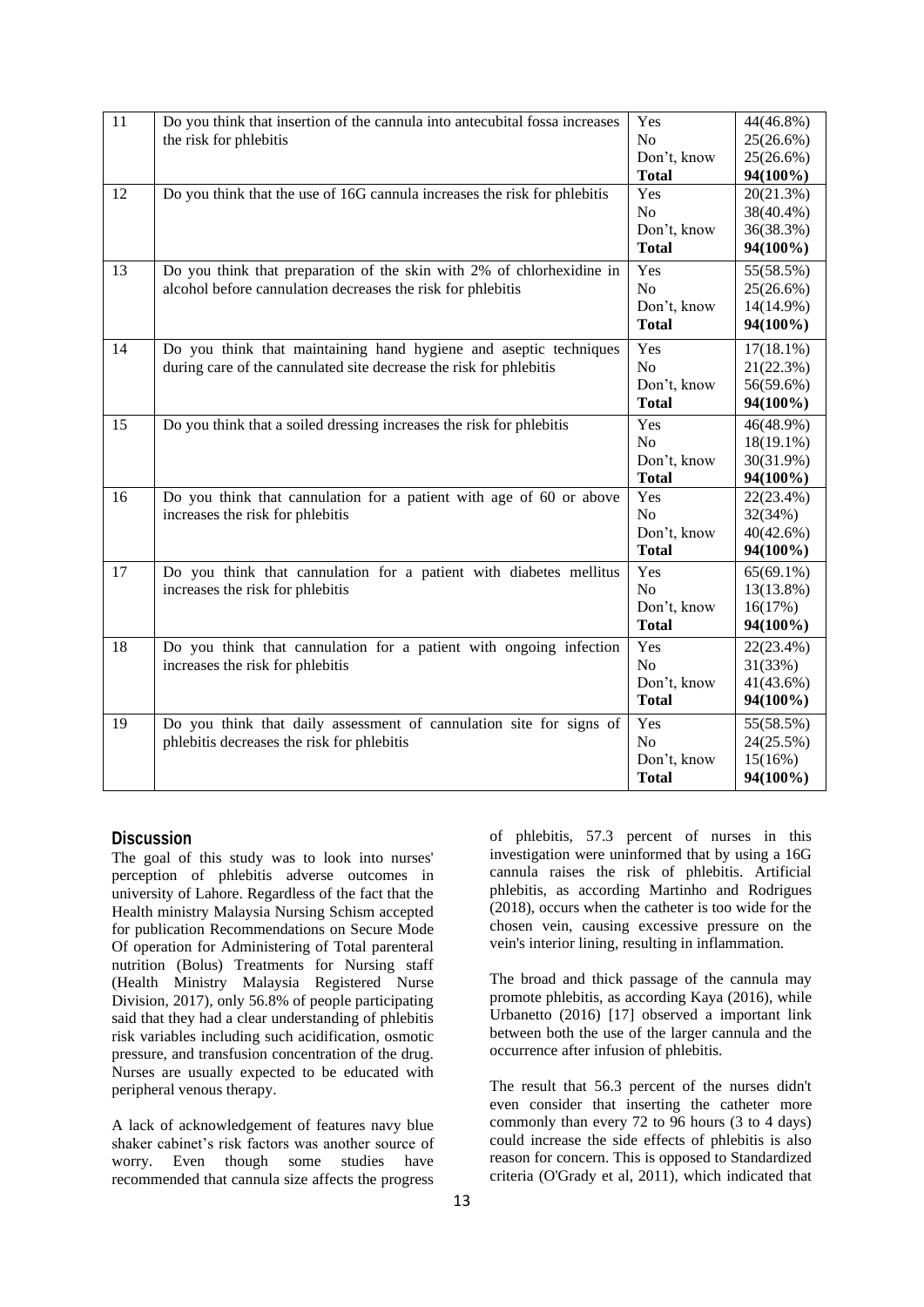| 11 | Do you think that insertion of the cannula into antecubital fossa increases<br>the risk for phlebitis                                   | Yes<br>No<br>Don't, know<br><b>Total</b>             | 44(46.8%)<br>25(26.6%)<br>25(26.6%)<br>94(100%)    |
|----|-----------------------------------------------------------------------------------------------------------------------------------------|------------------------------------------------------|----------------------------------------------------|
| 12 | Do you think that the use of 16G cannula increases the risk for phlebitis                                                               | Yes<br>N <sub>o</sub><br>Don't, know<br><b>Total</b> | 20(21.3%)<br>38(40.4%)<br>36(38.3%)<br>94(100%)    |
| 13 | Do you think that preparation of the skin with 2% of chlorhexidine in<br>alcohol before cannulation decreases the risk for phlebitis    | Yes<br>N <sub>o</sub><br>Don't, know<br><b>Total</b> | 55(58.5%)<br>25(26.6%)<br>14(14.9%)<br>94(100%)    |
| 14 | Do you think that maintaining hand hygiene and aseptic techniques<br>during care of the cannulated site decrease the risk for phlebitis | Yes<br>No<br>Don't, know<br><b>Total</b>             | $17(18.1\%)$<br>21(22.3%)<br>56(59.6%)<br>94(100%) |
| 15 | Do you think that a soiled dressing increases the risk for phlebitis                                                                    | Yes<br>No<br>Don't, know<br><b>Total</b>             | 46(48.9%)<br>$18(19.1\%)$<br>30(31.9%)<br>94(100%) |
| 16 | Do you think that cannulation for a patient with age of 60 or above<br>increases the risk for phlebitis                                 | Yes<br>N <sub>o</sub><br>Don't, know<br><b>Total</b> | 22(23.4%)<br>32(34%)<br>40(42.6%)<br>94(100%)      |
| 17 | Do you think that cannulation for a patient with diabetes mellitus<br>increases the risk for phlebitis                                  | Yes<br>N <sub>o</sub><br>Don't, know<br><b>Total</b> | $65(69.1\%)$<br>13(13.8%)<br>16(17%)<br>94(100%)   |
| 18 | Do you think that cannulation for a patient with ongoing infection<br>increases the risk for phlebitis                                  | Yes<br>N <sub>o</sub><br>Don't, know<br><b>Total</b> | 22(23.4%)<br>31(33%)<br>41(43.6%)<br>94(100%)      |
| 19 | Do you think that daily assessment of cannulation site for signs of<br>phlebitis decreases the risk for phlebitis                       | Yes<br>N <sub>o</sub><br>Don't, know<br><b>Total</b> | 55(58.5%)<br>24(25.5%)<br>15(16%)<br>94(100%)      |

## **Discussion**

The goal of this study was to look into nurses' perception of phlebitis adverse outcomes in university of Lahore. Regardless of the fact that the Health ministry Malaysia Nursing Schism accepted for publication Recommendations on Secure Mode Of operation for Administering of Total parenteral nutrition (Bolus) Treatments for Nursing staff (Health Ministry Malaysia Registered Nurse Division, 2017), only 56.8% of people participating said that they had a clear understanding of phlebitis risk variables including such acidification, osmotic pressure, and transfusion concentration of the drug. Nurses are usually expected to be educated with peripheral venous therapy.

A lack of acknowledgement of features navy blue shaker cabinet's risk factors was another source of worry. Even though some studies have recommended that cannula size affects the progress

of phlebitis, 57.3 percent of nurses in this investigation were uninformed that by using a 16G cannula raises the risk of phlebitis. Artificial phlebitis, as according Martinho and Rodrigues (2018), occurs when the catheter is too wide for the chosen vein, causing excessive pressure on the vein's interior lining, resulting in inflammation.

The broad and thick passage of the cannula may promote phlebitis, as according Kaya (2016), while Urbanetto (2016) [17] observed a important link between both the use of the larger cannula and the occurrence after infusion of phlebitis.

The result that 56.3 percent of the nurses didn't even consider that inserting the catheter more commonly than every 72 to 96 hours (3 to 4 days) could increase the side effects of phlebitis is also reason for concern. This is opposed to Standardized criteria (O'Grady et al, 2011), which indicated that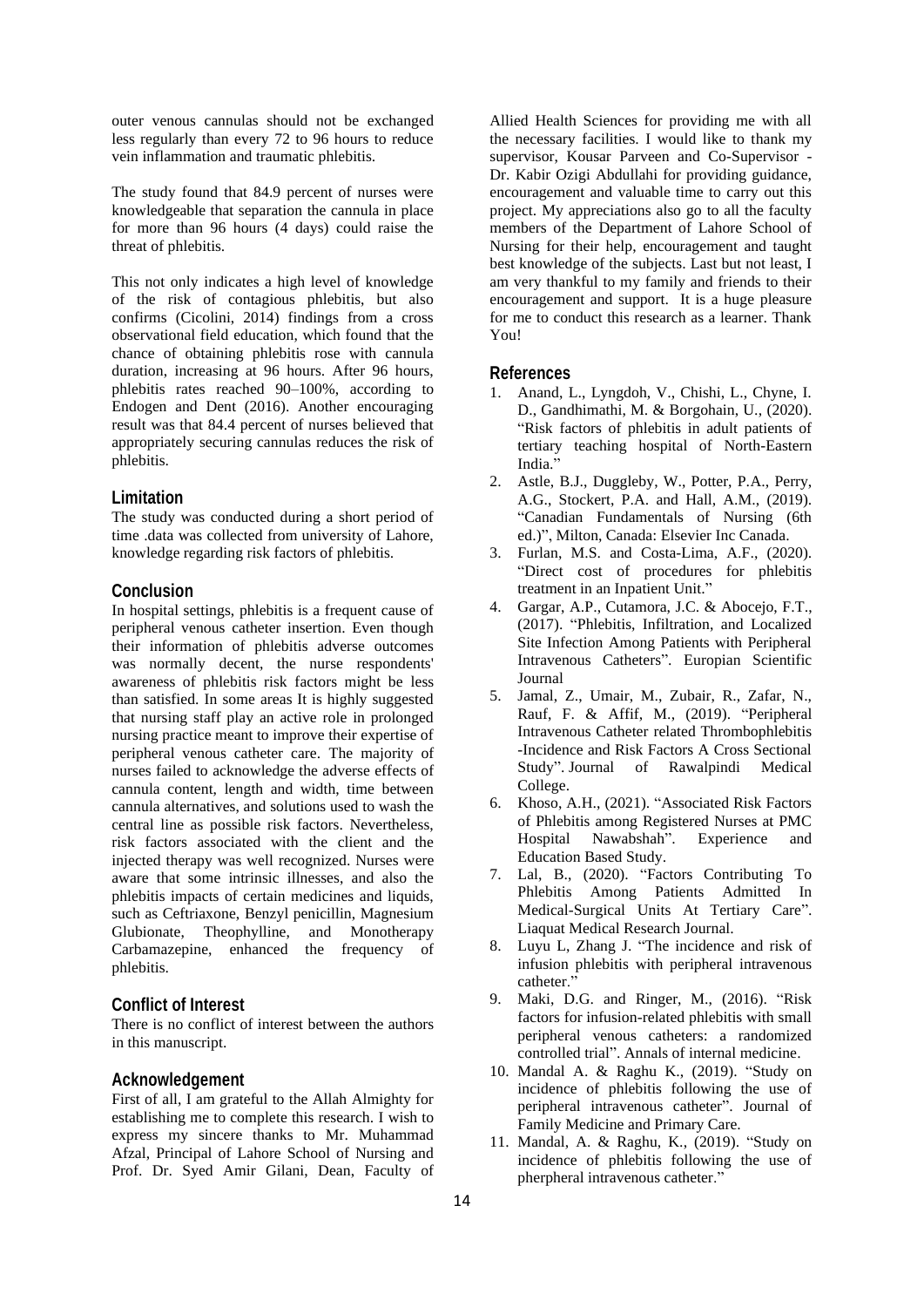outer venous cannulas should not be exchanged less regularly than every 72 to 96 hours to reduce vein inflammation and traumatic phlebitis.

The study found that 84.9 percent of nurses were knowledgeable that separation the cannula in place for more than 96 hours (4 days) could raise the threat of phlebitis.

This not only indicates a high level of knowledge of the risk of contagious phlebitis, but also confirms (Cicolini, 2014) findings from a cross observational field education, which found that the chance of obtaining phlebitis rose with cannula duration, increasing at 96 hours. After 96 hours, phlebitis rates reached 90–100%, according to Endogen and Dent (2016). Another encouraging result was that 84.4 percent of nurses believed that appropriately securing cannulas reduces the risk of phlebitis.

#### **Limitation**

The study was conducted during a short period of time .data was collected from university of Lahore, knowledge regarding risk factors of phlebitis.

#### **Conclusion**

In hospital settings, phlebitis is a frequent cause of peripheral venous catheter insertion. Even though their information of phlebitis adverse outcomes was normally decent, the nurse respondents' awareness of phlebitis risk factors might be less than satisfied. In some areas It is highly suggested that nursing staff play an active role in prolonged nursing practice meant to improve their expertise of peripheral venous catheter care. The majority of nurses failed to acknowledge the adverse effects of cannula content, length and width, time between cannula alternatives, and solutions used to wash the central line as possible risk factors. Nevertheless, risk factors associated with the client and the injected therapy was well recognized. Nurses were aware that some intrinsic illnesses, and also the phlebitis impacts of certain medicines and liquids, such as Ceftriaxone, Benzyl penicillin, Magnesium Glubionate, Theophylline, and Monotherapy Carbamazepine, enhanced the frequency of phlebitis.

#### **Conflict of Interest**

There is no conflict of interest between the authors in this manuscript.

#### **Acknowledgement**

First of all, I am grateful to the Allah Almighty for establishing me to complete this research. I wish to express my sincere thanks to Mr. Muhammad Afzal, Principal of Lahore School of Nursing and Prof. Dr. Syed Amir Gilani, Dean, Faculty of

Allied Health Sciences for providing me with all the necessary facilities. I would like to thank my supervisor, Kousar Parveen and Co-Supervisor - Dr. Kabir Ozigi Abdullahi for providing guidance, encouragement and valuable time to carry out this project. My appreciations also go to all the faculty members of the Department of Lahore School of Nursing for their help, encouragement and taught best knowledge of the subjects. Last but not least, I am very thankful to my family and friends to their encouragement and support. It is a huge pleasure for me to conduct this research as a learner. Thank You!

#### **References**

- 1. Anand, L., Lyngdoh, V., Chishi, L., Chyne, I. D., Gandhimathi, M. & Borgohain, U., (2020). "Risk factors of phlebitis in adult patients of tertiary teaching hospital of North-Eastern India."
- 2. Astle, B.J., Duggleby, W., Potter, P.A., Perry, A.G., Stockert, P.A. and Hall, A.M., (2019). "Canadian Fundamentals of Nursing (6th ed.)", Milton, Canada: Elsevier Inc Canada.
- 3. Furlan, M.S. and Costa-Lima, A.F., (2020). "Direct cost of procedures for phlebitis treatment in an Inpatient Unit."
- 4. Gargar, A.P., Cutamora, J.C. & Abocejo, F.T., (2017). "Phlebitis, Infiltration, and Localized Site Infection Among Patients with Peripheral Intravenous Catheters". Europian Scientific Journal
- 5. Jamal, Z., Umair, M., Zubair, R., Zafar, N., Rauf, F. & Affif, M., (2019). "Peripheral Intravenous Catheter related Thrombophlebitis -Incidence and Risk Factors A Cross Sectional Study". Journal of Rawalpindi Medical College.
- 6. Khoso, A.H., (2021). "Associated Risk Factors of Phlebitis among Registered Nurses at PMC Hospital Nawabshah". Experience and Education Based Study.
- 7. Lal, B., (2020). "Factors Contributing To Phlebitis Among Patients Admitted In Medical-Surgical Units At Tertiary Care". Liaquat Medical Research Journal.
- 8. Luyu L, Zhang J. "The incidence and risk of infusion phlebitis with peripheral intravenous catheter."
- 9. Maki, D.G. and Ringer, M., (2016). "Risk factors for infusion-related phlebitis with small peripheral venous catheters: a randomized controlled trial". Annals of internal medicine.
- 10. Mandal A. & Raghu K., (2019). "Study on incidence of phlebitis following the use of peripheral intravenous catheter". Journal of Family Medicine and Primary Care.
- 11. Mandal, A. & Raghu, K., (2019). "Study on incidence of phlebitis following the use of pherpheral intravenous catheter."